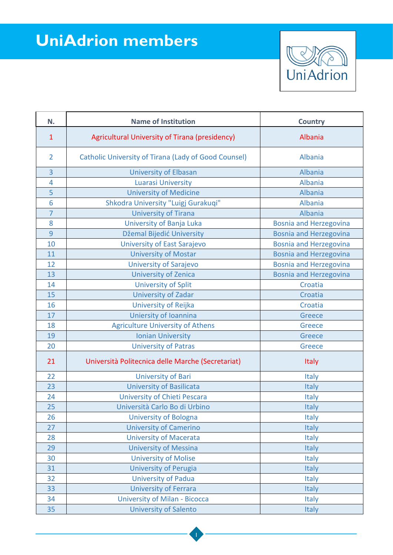## **UniAdrion members**



| N.             | <b>Name of Institution</b>                           | <b>Country</b>                |
|----------------|------------------------------------------------------|-------------------------------|
| $\mathbf{1}$   | Agricultural University of Tirana (presidency)       | Albania                       |
| $\overline{2}$ | Catholic University of Tirana (Lady of Good Counsel) | Albania                       |
| $\overline{3}$ | <b>University of Elbasan</b>                         | Albania                       |
| 4              | <b>Luarasi University</b>                            | Albania                       |
| 5              | <b>University of Medicine</b>                        | Albania                       |
| 6              | Shkodra University "Luigj Gurakuqi"                  | Albania                       |
| $\overline{7}$ | <b>University of Tirana</b>                          | Albania                       |
| 8              | University of Banja Luka                             | <b>Bosnia and Herzegovina</b> |
| 9              | Džemal Bijedić University                            | <b>Bosnia and Herzegovina</b> |
| 10             | University of East Sarajevo                          | <b>Bosnia and Herzegovina</b> |
| 11             | <b>University of Mostar</b>                          | <b>Bosnia and Herzegovina</b> |
| 12             | <b>University of Sarajevo</b>                        | <b>Bosnia and Herzegovina</b> |
| 13             | <b>University of Zenica</b>                          | <b>Bosnia and Herzegovina</b> |
| 14             | <b>University of Split</b>                           | Croatia                       |
| 15             | University of Zadar                                  | Croatia                       |
| 16             | University of Reijka                                 | Croatia                       |
| 17             | Uniersity of Ioannina                                | Greece                        |
| 18             | <b>Agriculture University of Athens</b>              | Greece                        |
| 19             | <b>Ionian University</b>                             | Greece                        |
| 20             | <b>University of Patras</b>                          | Greece                        |
| 21             | Università Politecnica delle Marche (Secretariat)    | <b>Italy</b>                  |
| 22             | <b>University of Bari</b>                            | Italy                         |
| 23             | <b>University of Basilicata</b>                      | Italy                         |
| 24             | University of Chieti Pescara                         | <b>Italy</b>                  |
| 25             | Università Carlo Bo di Urbino                        | <b>Italy</b>                  |
| 26             | <b>University of Bologna</b>                         | Italy                         |
| 27             | <b>University of Camerino</b>                        | Italy                         |
| 28             | <b>University of Macerata</b>                        | Italy                         |
| 29             | <b>University of Messina</b>                         | Italy                         |
| 30             | <b>University of Molise</b>                          | <b>Italy</b>                  |
| 31             | <b>University of Perugia</b>                         | Italy                         |
| 32             | <b>University of Padua</b>                           | Italy                         |
| 33             | <b>University of Ferrara</b>                         | <b>Italy</b>                  |
| 34             | <b>University of Milan - Bicocca</b>                 | Italy                         |
| 35             | <b>University of Salento</b>                         | <b>Italy</b>                  |